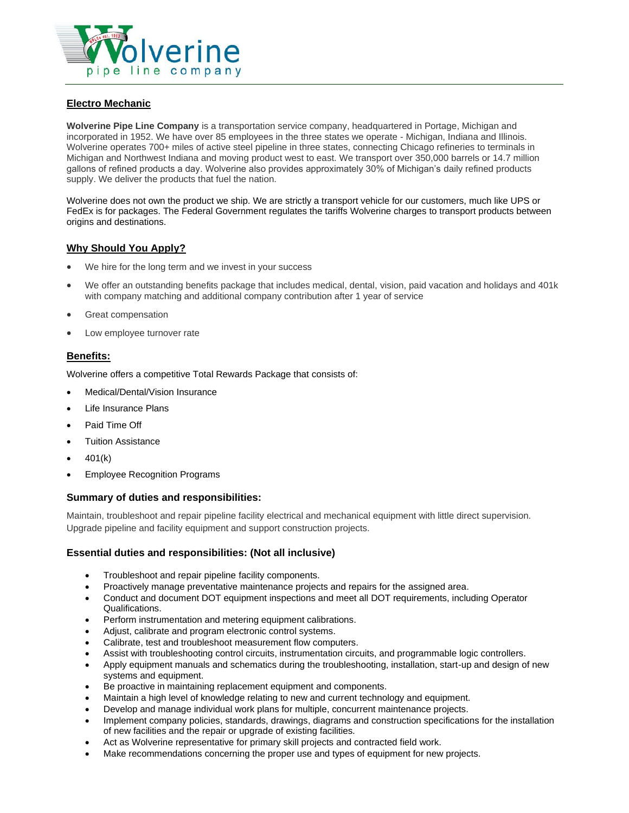

## **Electro Mechanic**

**Wolverine Pipe Line Company** is a transportation service company, headquartered in Portage, Michigan and incorporated in 1952. We have over 85 employees in the three states we operate - Michigan, Indiana and Illinois. Wolverine operates 700+ miles of active steel pipeline in three states, connecting Chicago refineries to terminals in Michigan and Northwest Indiana and moving product west to east. We transport over 350,000 barrels or 14.7 million gallons of refined products a day. Wolverine also provides approximately 30% of Michigan's daily refined products supply. We deliver the products that fuel the nation.

Wolverine does not own the product we ship. We are strictly a transport vehicle for our customers, much like UPS or FedEx is for packages. The Federal Government regulates the tariffs Wolverine charges to transport products between origins and destinations.

# **Why Should You Apply?**

- We hire for the long term and we invest in your success
- We offer an outstanding benefits package that includes medical, dental, vision, paid vacation and holidays and 401k with company matching and additional company contribution after 1 year of service
- Great compensation
- Low employee turnover rate

## **Benefits:**

Wolverine offers a competitive Total Rewards Package that consists of:

- Medical/Dental/Vision Insurance
- Life Insurance Plans
- Paid Time Off
- Tuition Assistance
- $401(k)$
- Employee Recognition Programs

#### **Summary of duties and responsibilities:**

Maintain, troubleshoot and repair pipeline facility electrical and mechanical equipment with little direct supervision. Upgrade pipeline and facility equipment and support construction projects.

#### **Essential duties and responsibilities: (Not all inclusive)**

- Troubleshoot and repair pipeline facility components.
- Proactively manage preventative maintenance projects and repairs for the assigned area.
- Conduct and document DOT equipment inspections and meet all DOT requirements, including Operator Qualifications.
- Perform instrumentation and metering equipment calibrations.
- Adjust, calibrate and program electronic control systems.
- Calibrate, test and troubleshoot measurement flow computers.
- Assist with troubleshooting control circuits, instrumentation circuits, and programmable logic controllers.
- Apply equipment manuals and schematics during the troubleshooting, installation, start-up and design of new systems and equipment.
- Be proactive in maintaining replacement equipment and components.
- Maintain a high level of knowledge relating to new and current technology and equipment.
- Develop and manage individual work plans for multiple, concurrent maintenance projects.
- Implement company policies, standards, drawings, diagrams and construction specifications for the installation of new facilities and the repair or upgrade of existing facilities.
- Act as Wolverine representative for primary skill projects and contracted field work.
- Make recommendations concerning the proper use and types of equipment for new projects.